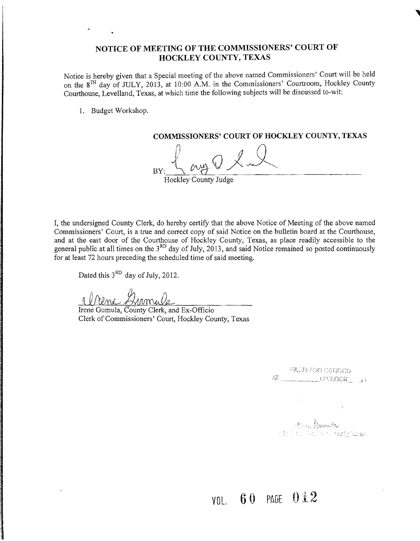## NOTICE OF MEETING OF THE COMMISSIONERS' COURT OF HOCKLEY COUNTY, TEXAS

Notice is hereby given that a Special meeting of the above named Commissioners' Court will be held on the 8TH day of JULY, 2013, at 10:00 A.M. in the Commissioners' Courtroom, Hockley County Courthouse, Levelland, Texas, at which time the following subjects will be discussed to-wit:

1. Budget Workshop.

COMMISSIONERS' COURT OF HOCKLEY COUNTY, TEXAS

 $\frac{1}{\frac{1}{\frac{1}{\sqrt{1}}}}$  and  $\frac{1}{\frac{1}{\sqrt{1}}}}$ 

I, the undersigned County Clerk, do hereby certify that the above Notice of Meeting of the above named Commissioners' Court, is a true and correct copy of said Notice on the bulletin board at the Courthouse, and at the east door of the Courthouse of Hockley County, Texas, as place readily accessible to the general public at all times on the  $3<sup>RD</sup>$  day of July, 2013, and said Notice remained so posted continuously for at least 72 hours preceding the scheduled time of said meeting.

Dated this  $3<sup>RD</sup>$  day of July, 2012.

Gromule

Irene Gumula, County Clerk, and Ex-Officio Clerk of Commissioners' Court, Hockley County, Texas

FILLED FOR CENDER. AT COLOCK 34

alian <mark>Aumula</mark><br>Michael Boulant Crunby Rosan

VOL. 60 PAGE 012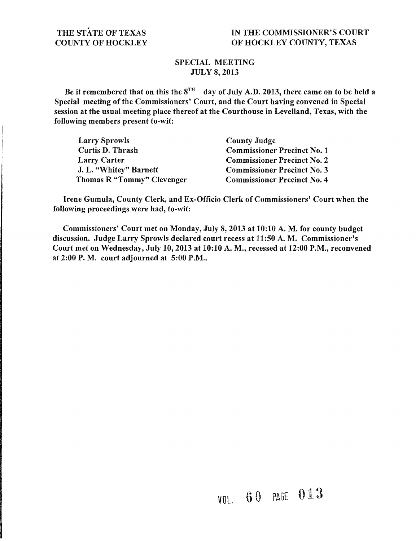## SPECIAL MEETING JULY 8, 2013

Be it remembered that on this the  $8^{TH}$  day of July A.D. 2013, there came on to be held a Special meeting of the Commissioners' Court, and the Court having convened in Special session at the usual meeting place thereof at the Courthouse in Levelland, Texas, with the following members present to-wit:

| <b>Larry Sprowls</b>       | <b>County Judge</b>                |
|----------------------------|------------------------------------|
| Curtis D. Thrash           | <b>Commissioner Precinct No. 1</b> |
| <b>Larry Carter</b>        | <b>Commissioner Precinct No. 2</b> |
| J. L. "Whitey" Barnett     | <b>Commissioner Precinct No. 3</b> |
| Thomas R "Tommy" Clevenger | <b>Commissioner Precinct No. 4</b> |

Irene Gumula, County Clerk, and Ex-Officio Clerk of Commissioners' Court when the following proceedings were had, to-wit:

Commissioners' Court met on Monday, July 8, 2013 at 10:10 A. M. for county budget discussion. Judge Larry Sprowls declared court recess at 11:50 A. M. Commissioner's Court met on Wednesday, July 10,2013 at 10:10 A. M., recessed at 12:00 P.M., reconvened at 2:00 P.M. court adjourned at 5:00 P.M..

## VOL. 60 PAGE 013